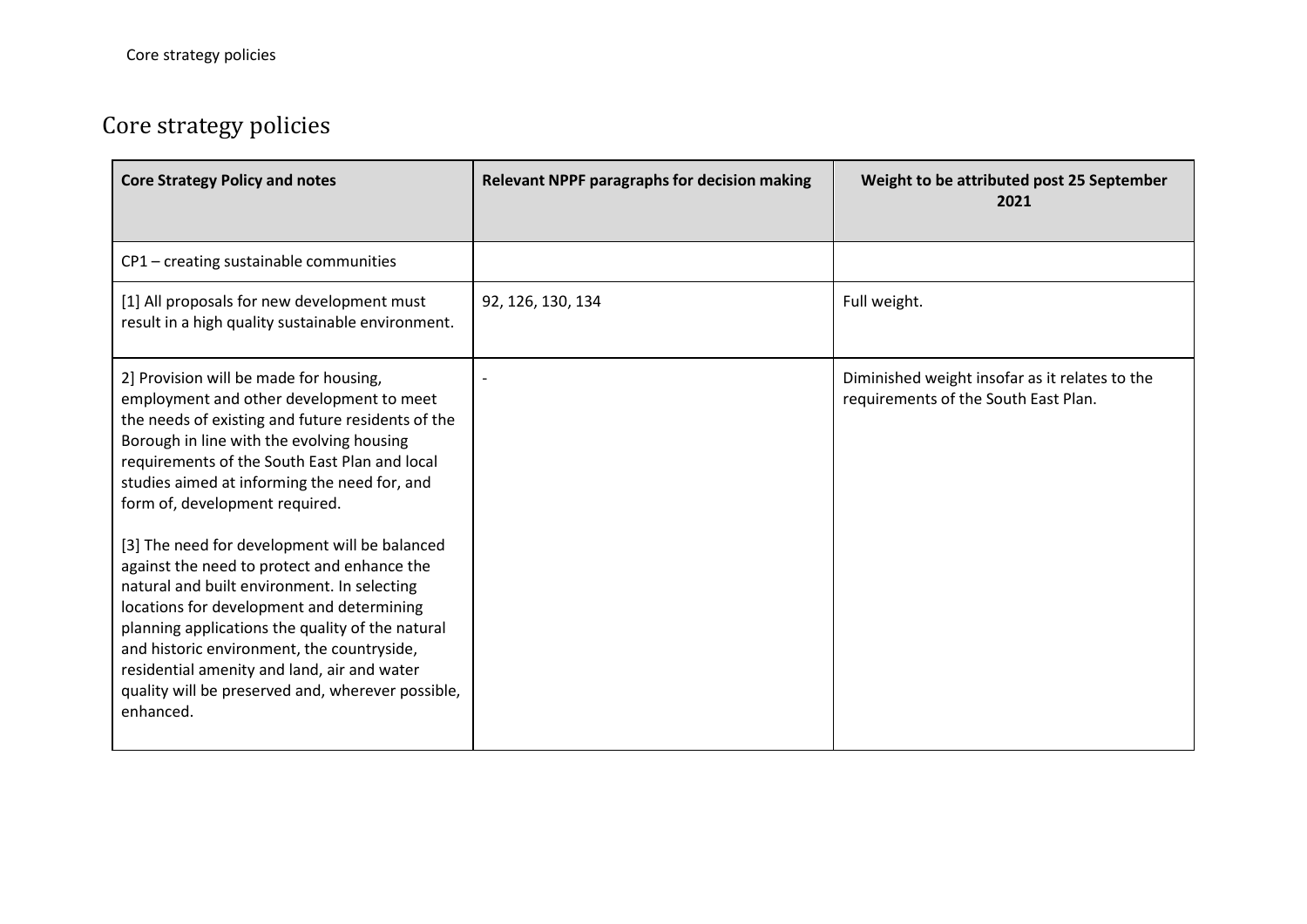## Core strategy policies

| <b>Core Strategy Policy and notes</b>                                                                                                                                                                                                                                                                                                                                                                                                                                                                                                                                                                                                                                                                                                  | <b>Relevant NPPF paragraphs for decision making</b> | Weight to be attributed post 25 September<br>2021                                      |
|----------------------------------------------------------------------------------------------------------------------------------------------------------------------------------------------------------------------------------------------------------------------------------------------------------------------------------------------------------------------------------------------------------------------------------------------------------------------------------------------------------------------------------------------------------------------------------------------------------------------------------------------------------------------------------------------------------------------------------------|-----------------------------------------------------|----------------------------------------------------------------------------------------|
| CP1 - creating sustainable communities                                                                                                                                                                                                                                                                                                                                                                                                                                                                                                                                                                                                                                                                                                 |                                                     |                                                                                        |
| [1] All proposals for new development must<br>result in a high quality sustainable environment.                                                                                                                                                                                                                                                                                                                                                                                                                                                                                                                                                                                                                                        | 92, 126, 130, 134                                   | Full weight.                                                                           |
| 2] Provision will be made for housing,<br>employment and other development to meet<br>the needs of existing and future residents of the<br>Borough in line with the evolving housing<br>requirements of the South East Plan and local<br>studies aimed at informing the need for, and<br>form of, development required.<br>[3] The need for development will be balanced<br>against the need to protect and enhance the<br>natural and built environment. In selecting<br>locations for development and determining<br>planning applications the quality of the natural<br>and historic environment, the countryside,<br>residential amenity and land, air and water<br>quality will be preserved and, wherever possible,<br>enhanced. |                                                     | Diminished weight insofar as it relates to the<br>requirements of the South East Plan. |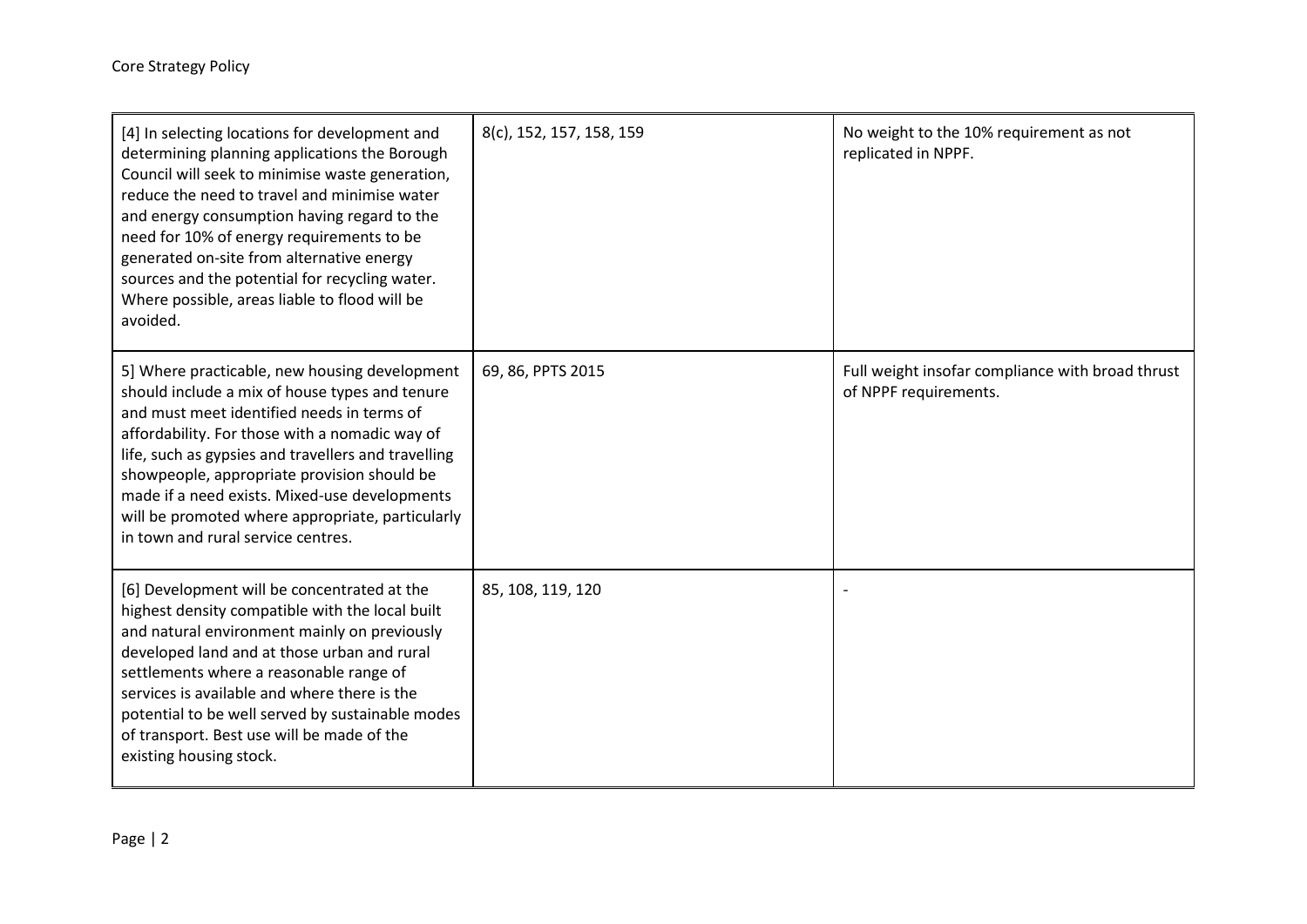| [4] In selecting locations for development and<br>determining planning applications the Borough<br>Council will seek to minimise waste generation,<br>reduce the need to travel and minimise water<br>and energy consumption having regard to the<br>need for 10% of energy requirements to be<br>generated on-site from alternative energy<br>sources and the potential for recycling water.<br>Where possible, areas liable to flood will be<br>avoided. | 8(c), 152, 157, 158, 159 | No weight to the 10% requirement as not<br>replicated in NPPF.            |
|------------------------------------------------------------------------------------------------------------------------------------------------------------------------------------------------------------------------------------------------------------------------------------------------------------------------------------------------------------------------------------------------------------------------------------------------------------|--------------------------|---------------------------------------------------------------------------|
| 5] Where practicable, new housing development<br>should include a mix of house types and tenure<br>and must meet identified needs in terms of<br>affordability. For those with a nomadic way of<br>life, such as gypsies and travellers and travelling<br>showpeople, appropriate provision should be<br>made if a need exists. Mixed-use developments<br>will be promoted where appropriate, particularly<br>in town and rural service centres.           | 69, 86, PPTS 2015        | Full weight insofar compliance with broad thrust<br>of NPPF requirements. |
| [6] Development will be concentrated at the<br>highest density compatible with the local built<br>and natural environment mainly on previously<br>developed land and at those urban and rural<br>settlements where a reasonable range of<br>services is available and where there is the<br>potential to be well served by sustainable modes<br>of transport. Best use will be made of the<br>existing housing stock.                                      | 85, 108, 119, 120        |                                                                           |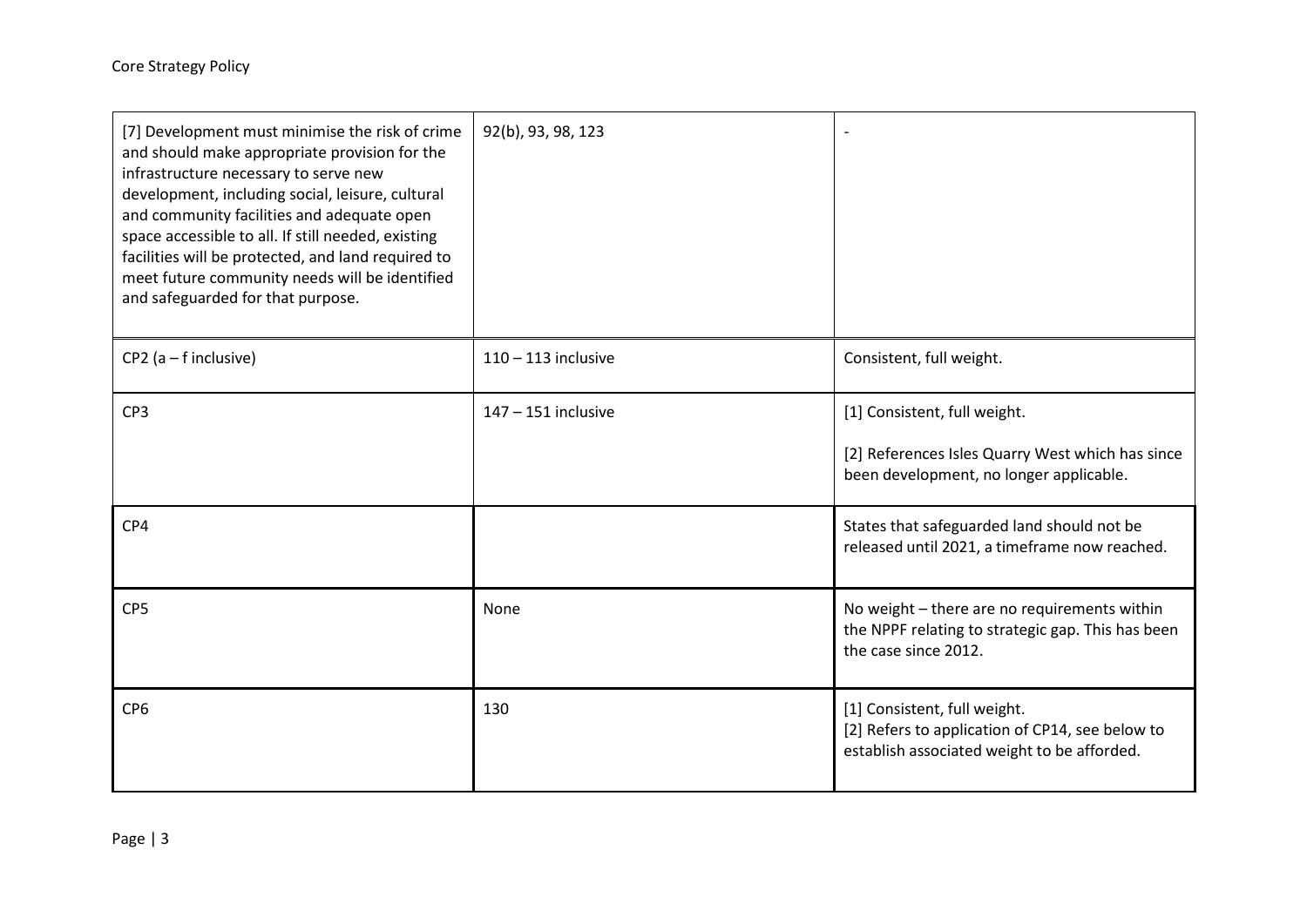| [7] Development must minimise the risk of crime<br>and should make appropriate provision for the<br>infrastructure necessary to serve new<br>development, including social, leisure, cultural<br>and community facilities and adequate open<br>space accessible to all. If still needed, existing<br>facilities will be protected, and land required to<br>meet future community needs will be identified<br>and safeguarded for that purpose. | 92(b), 93, 98, 123    | $\overline{\phantom{a}}$                                                                                                       |
|------------------------------------------------------------------------------------------------------------------------------------------------------------------------------------------------------------------------------------------------------------------------------------------------------------------------------------------------------------------------------------------------------------------------------------------------|-----------------------|--------------------------------------------------------------------------------------------------------------------------------|
| $CP2$ (a – f inclusive)                                                                                                                                                                                                                                                                                                                                                                                                                        | $110 - 113$ inclusive | Consistent, full weight.                                                                                                       |
| CP <sub>3</sub>                                                                                                                                                                                                                                                                                                                                                                                                                                | $147 - 151$ inclusive | [1] Consistent, full weight.<br>[2] References Isles Quarry West which has since<br>been development, no longer applicable.    |
| CP4                                                                                                                                                                                                                                                                                                                                                                                                                                            |                       | States that safeguarded land should not be<br>released until 2021, a timeframe now reached.                                    |
| CP <sub>5</sub>                                                                                                                                                                                                                                                                                                                                                                                                                                | None                  | No weight - there are no requirements within<br>the NPPF relating to strategic gap. This has been<br>the case since 2012.      |
| CP <sub>6</sub>                                                                                                                                                                                                                                                                                                                                                                                                                                | 130                   | [1] Consistent, full weight.<br>[2] Refers to application of CP14, see below to<br>establish associated weight to be afforded. |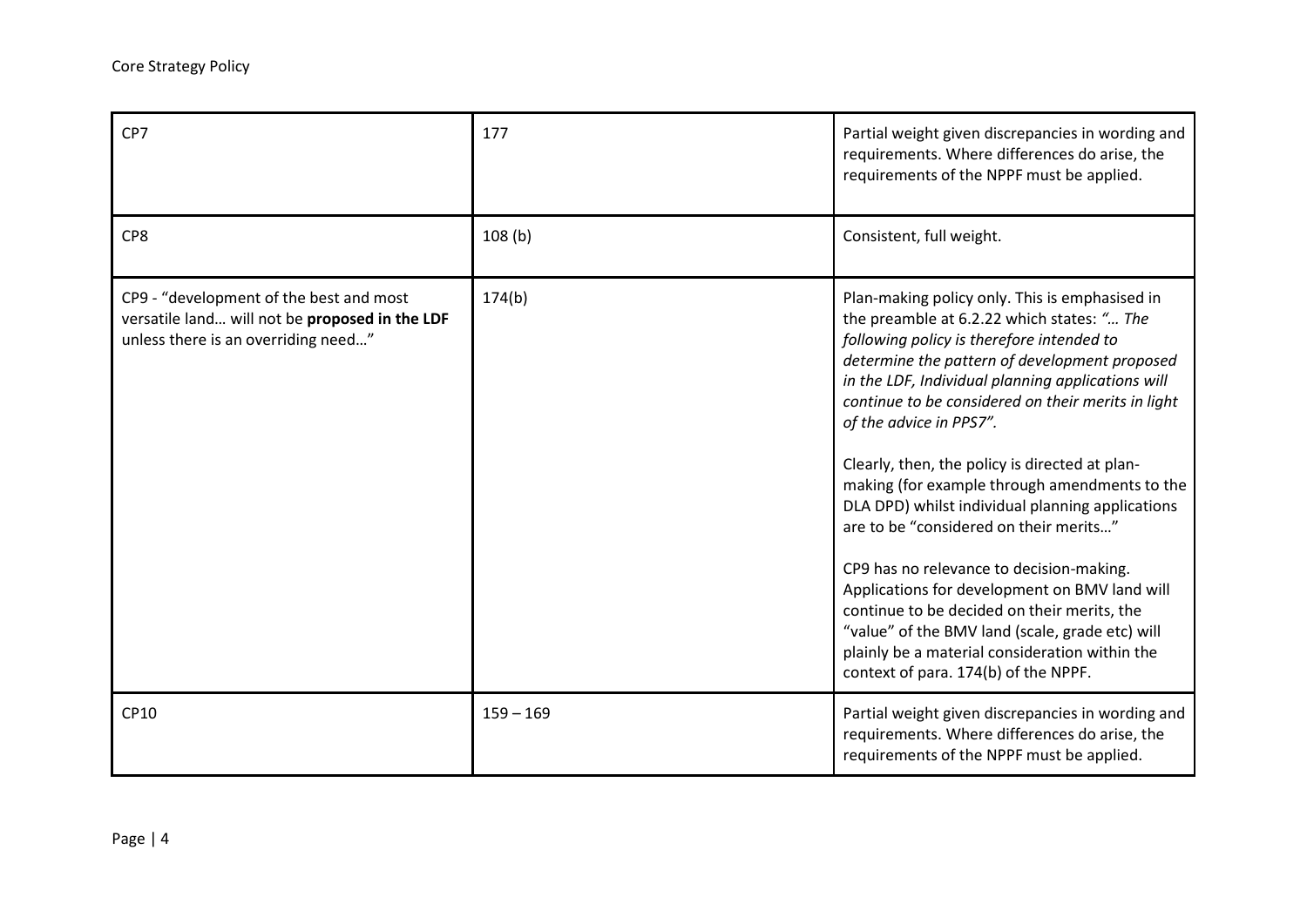| CP7                                                                                                                              | 177         | Partial weight given discrepancies in wording and<br>requirements. Where differences do arise, the<br>requirements of the NPPF must be applied.                                                                                                                                                                                                                                                                                                                                                                                                                                                                                                                                                                                                                                                                            |
|----------------------------------------------------------------------------------------------------------------------------------|-------------|----------------------------------------------------------------------------------------------------------------------------------------------------------------------------------------------------------------------------------------------------------------------------------------------------------------------------------------------------------------------------------------------------------------------------------------------------------------------------------------------------------------------------------------------------------------------------------------------------------------------------------------------------------------------------------------------------------------------------------------------------------------------------------------------------------------------------|
| CP8                                                                                                                              | 108(b)      | Consistent, full weight.                                                                                                                                                                                                                                                                                                                                                                                                                                                                                                                                                                                                                                                                                                                                                                                                   |
| CP9 - "development of the best and most<br>versatile land will not be proposed in the LDF<br>unless there is an overriding need" | 174(b)      | Plan-making policy only. This is emphasised in<br>the preamble at 6.2.22 which states: " The<br>following policy is therefore intended to<br>determine the pattern of development proposed<br>in the LDF, Individual planning applications will<br>continue to be considered on their merits in light<br>of the advice in PPS7".<br>Clearly, then, the policy is directed at plan-<br>making (for example through amendments to the<br>DLA DPD) whilst individual planning applications<br>are to be "considered on their merits"<br>CP9 has no relevance to decision-making.<br>Applications for development on BMV land will<br>continue to be decided on their merits, the<br>"value" of the BMV land (scale, grade etc) will<br>plainly be a material consideration within the<br>context of para. 174(b) of the NPPF. |
| CP10                                                                                                                             | $159 - 169$ | Partial weight given discrepancies in wording and<br>requirements. Where differences do arise, the<br>requirements of the NPPF must be applied.                                                                                                                                                                                                                                                                                                                                                                                                                                                                                                                                                                                                                                                                            |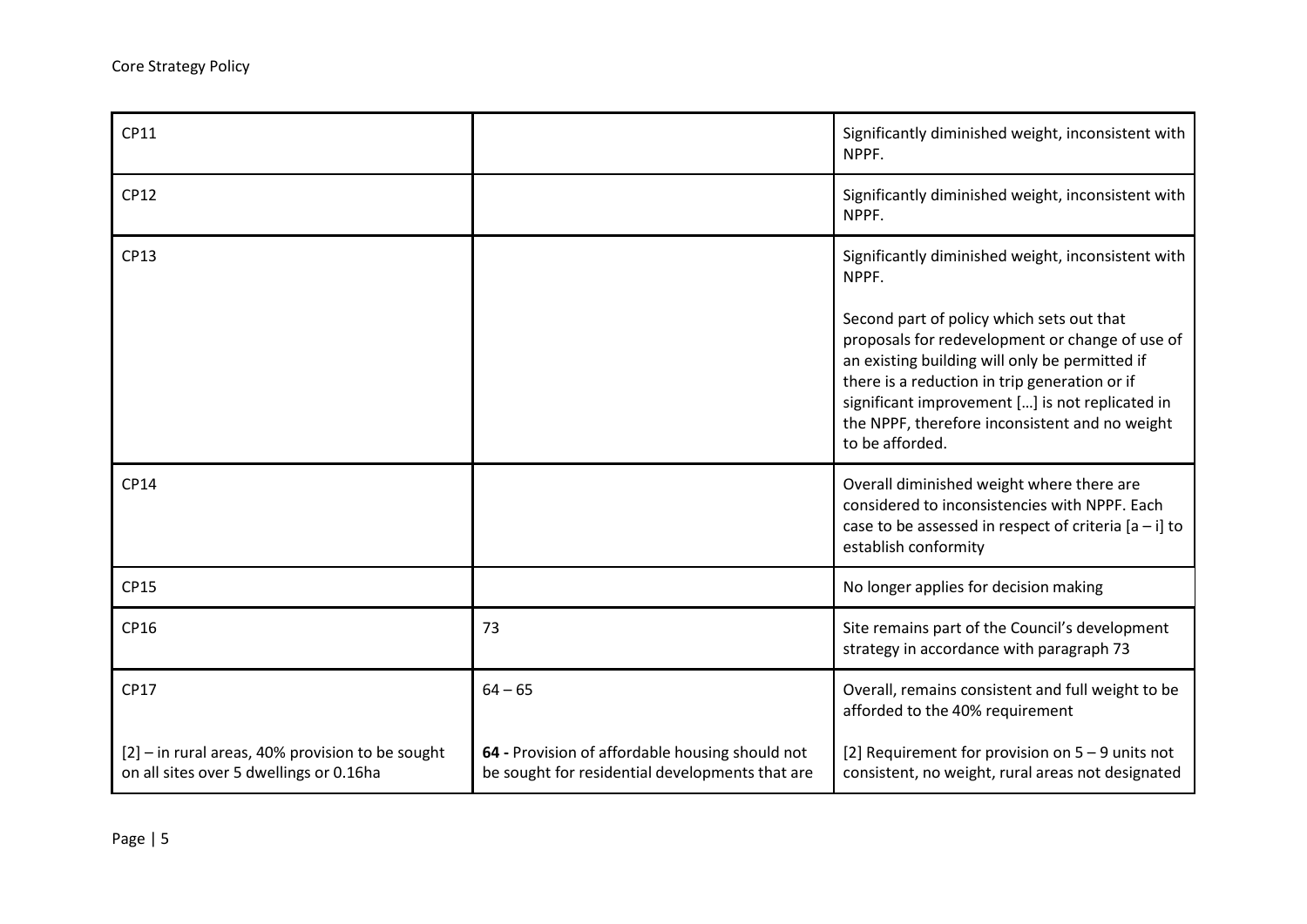| CP11                                                                                          |                                                                                                    | Significantly diminished weight, inconsistent with<br>NPPF.                                                                                                                                                                                                                                                             |
|-----------------------------------------------------------------------------------------------|----------------------------------------------------------------------------------------------------|-------------------------------------------------------------------------------------------------------------------------------------------------------------------------------------------------------------------------------------------------------------------------------------------------------------------------|
| CP12                                                                                          |                                                                                                    | Significantly diminished weight, inconsistent with<br>NPPF.                                                                                                                                                                                                                                                             |
| CP13                                                                                          |                                                                                                    | Significantly diminished weight, inconsistent with<br>NPPF.                                                                                                                                                                                                                                                             |
|                                                                                               |                                                                                                    | Second part of policy which sets out that<br>proposals for redevelopment or change of use of<br>an existing building will only be permitted if<br>there is a reduction in trip generation or if<br>significant improvement [] is not replicated in<br>the NPPF, therefore inconsistent and no weight<br>to be afforded. |
| <b>CP14</b>                                                                                   |                                                                                                    | Overall diminished weight where there are<br>considered to inconsistencies with NPPF. Each<br>case to be assessed in respect of criteria $[a - i]$ to<br>establish conformity                                                                                                                                           |
| CP15                                                                                          |                                                                                                    | No longer applies for decision making                                                                                                                                                                                                                                                                                   |
| CP16                                                                                          | 73                                                                                                 | Site remains part of the Council's development<br>strategy in accordance with paragraph 73                                                                                                                                                                                                                              |
| CP17                                                                                          | $64 - 65$                                                                                          | Overall, remains consistent and full weight to be<br>afforded to the 40% requirement                                                                                                                                                                                                                                    |
| $[2]$ – in rural areas, 40% provision to be sought<br>on all sites over 5 dwellings or 0.16ha | 64 - Provision of affordable housing should not<br>be sought for residential developments that are | [2] Requirement for provision on $5 - 9$ units not<br>consistent, no weight, rural areas not designated                                                                                                                                                                                                                 |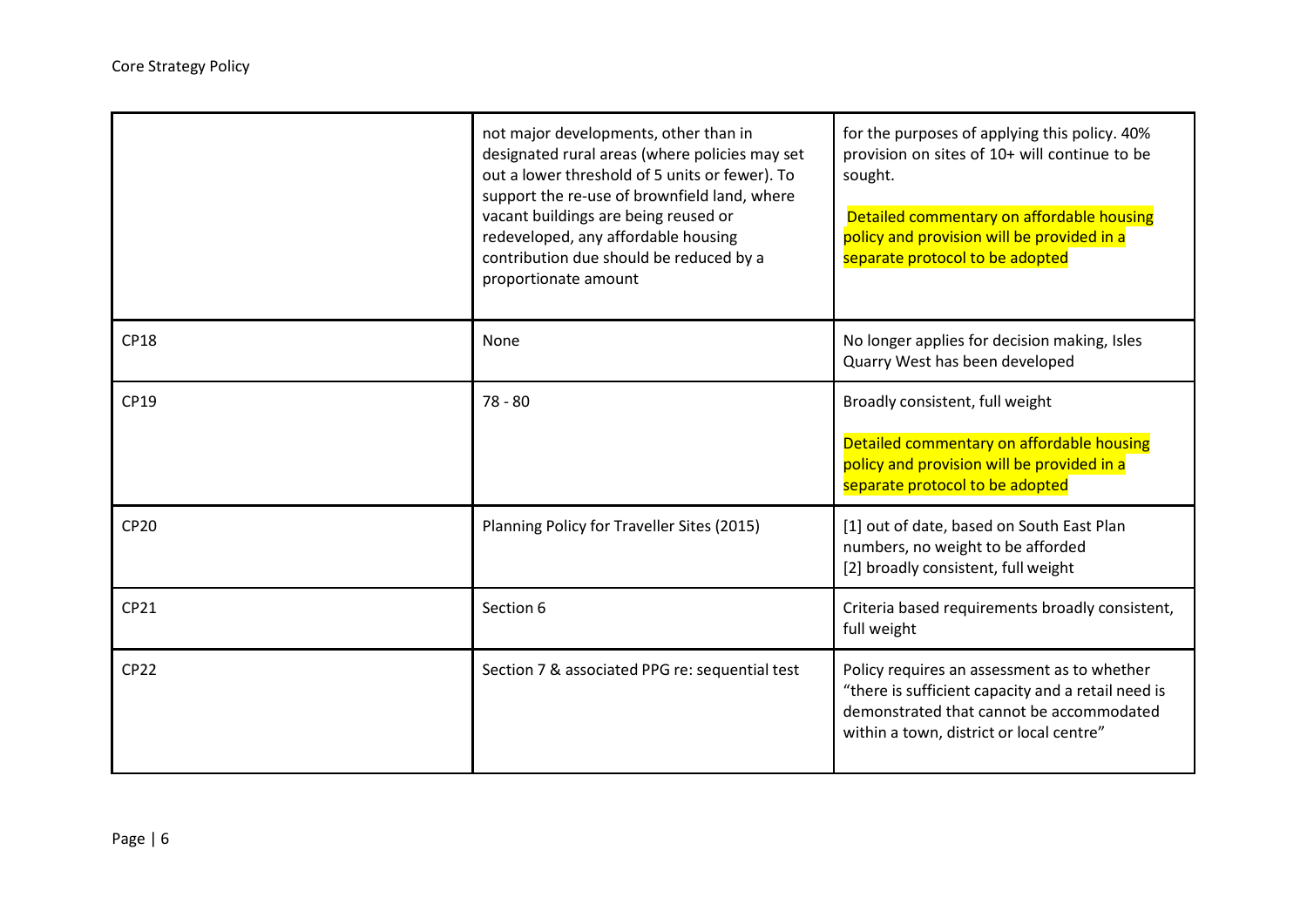|             | not major developments, other than in<br>designated rural areas (where policies may set<br>out a lower threshold of 5 units or fewer). To<br>support the re-use of brownfield land, where<br>vacant buildings are being reused or<br>redeveloped, any affordable housing<br>contribution due should be reduced by a<br>proportionate amount | for the purposes of applying this policy. 40%<br>provision on sites of 10+ will continue to be<br>sought.<br>Detailed commentary on affordable housing<br>policy and provision will be provided in a<br>separate protocol to be adopted |
|-------------|---------------------------------------------------------------------------------------------------------------------------------------------------------------------------------------------------------------------------------------------------------------------------------------------------------------------------------------------|-----------------------------------------------------------------------------------------------------------------------------------------------------------------------------------------------------------------------------------------|
| <b>CP18</b> | None                                                                                                                                                                                                                                                                                                                                        | No longer applies for decision making, Isles<br>Quarry West has been developed                                                                                                                                                          |
| CP19        | $78 - 80$                                                                                                                                                                                                                                                                                                                                   | Broadly consistent, full weight<br>Detailed commentary on affordable housing<br>policy and provision will be provided in a<br>separate protocol to be adopted                                                                           |
| <b>CP20</b> | Planning Policy for Traveller Sites (2015)                                                                                                                                                                                                                                                                                                  | [1] out of date, based on South East Plan<br>numbers, no weight to be afforded<br>[2] broadly consistent, full weight                                                                                                                   |
| CP21        | Section 6                                                                                                                                                                                                                                                                                                                                   | Criteria based requirements broadly consistent,<br>full weight                                                                                                                                                                          |
| <b>CP22</b> | Section 7 & associated PPG re: sequential test                                                                                                                                                                                                                                                                                              | Policy requires an assessment as to whether<br>"there is sufficient capacity and a retail need is<br>demonstrated that cannot be accommodated<br>within a town, district or local centre"                                               |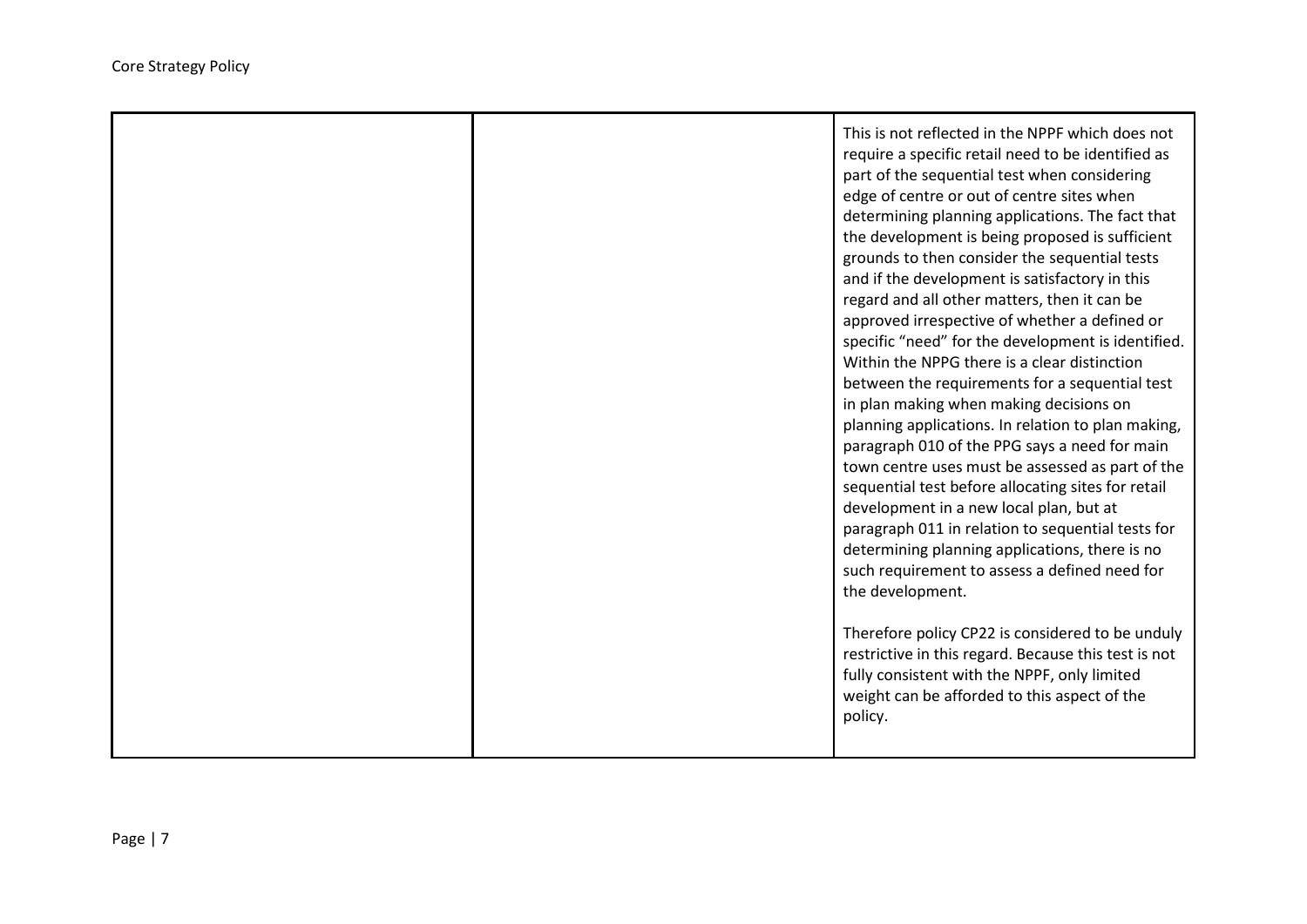|  | This is not reflected in the NPPF which does not<br>require a specific retail need to be identified as<br>part of the sequential test when considering<br>edge of centre or out of centre sites when<br>determining planning applications. The fact that<br>the development is being proposed is sufficient<br>grounds to then consider the sequential tests<br>and if the development is satisfactory in this<br>regard and all other matters, then it can be<br>approved irrespective of whether a defined or<br>specific "need" for the development is identified.<br>Within the NPPG there is a clear distinction<br>between the requirements for a sequential test<br>in plan making when making decisions on<br>planning applications. In relation to plan making,<br>paragraph 010 of the PPG says a need for main<br>town centre uses must be assessed as part of the<br>sequential test before allocating sites for retail<br>development in a new local plan, but at<br>paragraph 011 in relation to sequential tests for<br>determining planning applications, there is no<br>such requirement to assess a defined need for<br>the development.<br>Therefore policy CP22 is considered to be unduly<br>restrictive in this regard. Because this test is not<br>fully consistent with the NPPF, only limited<br>weight can be afforded to this aspect of the<br>policy. |
|--|-----------------------------------------------------------------------------------------------------------------------------------------------------------------------------------------------------------------------------------------------------------------------------------------------------------------------------------------------------------------------------------------------------------------------------------------------------------------------------------------------------------------------------------------------------------------------------------------------------------------------------------------------------------------------------------------------------------------------------------------------------------------------------------------------------------------------------------------------------------------------------------------------------------------------------------------------------------------------------------------------------------------------------------------------------------------------------------------------------------------------------------------------------------------------------------------------------------------------------------------------------------------------------------------------------------------------------------------------------------------------------------|
|--|-----------------------------------------------------------------------------------------------------------------------------------------------------------------------------------------------------------------------------------------------------------------------------------------------------------------------------------------------------------------------------------------------------------------------------------------------------------------------------------------------------------------------------------------------------------------------------------------------------------------------------------------------------------------------------------------------------------------------------------------------------------------------------------------------------------------------------------------------------------------------------------------------------------------------------------------------------------------------------------------------------------------------------------------------------------------------------------------------------------------------------------------------------------------------------------------------------------------------------------------------------------------------------------------------------------------------------------------------------------------------------------|